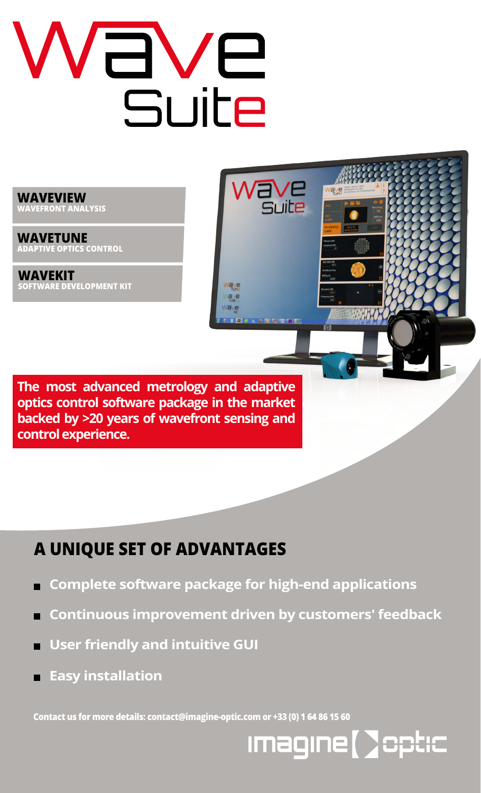

**WAVEVIEW WEFRONT ANALYSIS** 

**WAVETUNE APTIVE OPTICS CONTROL** 

**WAVEKIT SOFTWARE DEVELOPMENT KIT**

**The most advanced metrology and adaptive optics control software package in the market backed by >20 years of wavefront sensing and control experience.**

# **A UNIQUE SET OF ADVANTAGES**

**Complete software package for high-end applications**

waye

**COLLEGE** 

**Continuous improvement driven by customers' feedback**  $\blacksquare$ 

Wave

Imagine **Dept** 

ισ

- **User friendly and intuitive GUI**
- **Easy installation**

**Contact us for more details: contact@imagine-optic.com or +33 (0) 1 64 86 15 60**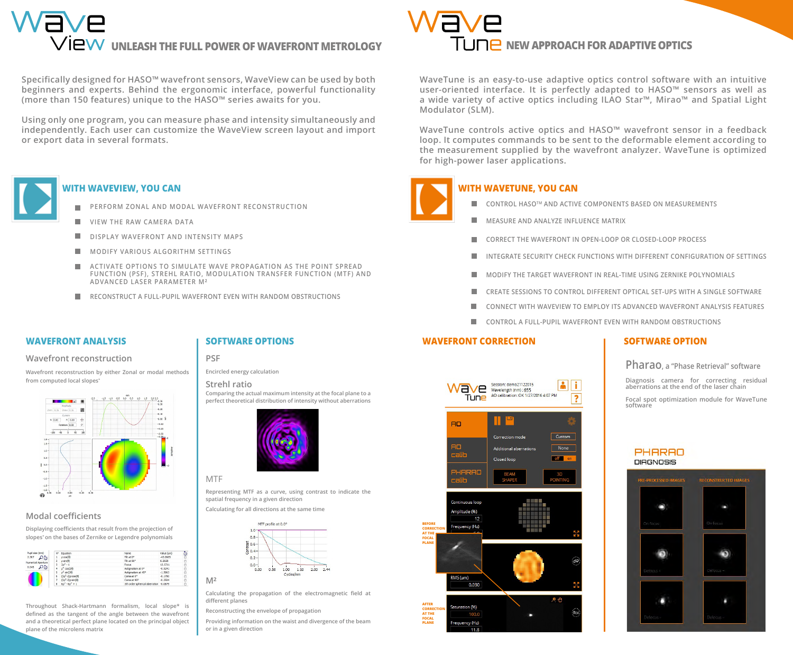

**Specifically designed for HASO™ wavefront sensors, WaveView can be used by both beginners and experts. Behind the ergonomic interface, powerful functionality (more than 150 features) unique to the HASO™ series awaits for you.**

**Using only one program, you can measure phase and intensity simultaneously and independently. Each user can customize the WaveView screen layout and import or export data in several formats.**

#### **WITH WAVEVIEW, YOU CAN**

- **PERFORM ZONAL AND MODAL WAVEFRONT RECONSTRUCTION**
- **COL VIEW THE RAW CAMERA DATA**
- **COL DISPLAY WAVEFRONT AND INTENSITY MAPS**
- $\sim$ **MODIFY VARIOUS ALGORITHM SETTINGS**
- $\overline{\phantom{a}}$ **ACTIVATE OPTIONS TO SIMULATE WAVE PROPAGATION AS THE POINT SPREAD FUNCTION (PSF), STREHL RATIO, MODULATION TRANSFER FUNCTION (MTF) AND ADVANCED LASER PARAMETER M²**
- $\mathcal{L}_{\mathcal{A}}$ **RECONSTRUCT A FULL-PUPIL WAVEFRONT EVEN WITH RANDOM OBSTRUCTIONS**

#### **WAVEFRONT ANALYSIS**

#### **Wavefront reconstruction**

**Wavefront reconstruction by either Zonal or modal methods from computed local slopes\***



#### **Modal coefficients**

**Displaying coefficients that result from the projection of slopes\* on the bases of Zernike or Legendre polynomials**



**Throughout Shack-Hartmann formalism, local slope\* is defined as the tangent of the angle between the wavefront and a theoretical perfect plane located on the principal object plane of the microlens matrix**

#### **SOFTWARE OPTIONS**

**PSF**

**Encircled energy calculation**

#### **Strehl ratio**

**Comparing the actual maximum intensity at the focal plane to a perfect theoretical distribution of intensity without aberrations**



MTF

**M²**

**Representing MTF as a curve, using contrast to indicate the spatial frequency in a given direction Calculating for all directions at the same time**



**Calculating the propagation of the electromagnetic field at different planes**

**Reconstructing the envelope of propagation**

**Providing information on the waist and divergence of the beam or in a given direction**



**WaveTune is an easy-to-use adaptive optics control software with an intuitive user-oriented interface. It is perfectly adapted to HASO™ sensors as well as a wide variety of active optics including ILAO Star™, Mirao™ and Spatial Light Modulator (SLM).** 

**WaveTune controls active optics and HASO™ wavefront sensor in a feedback loop. It computes commands to be sent to the deformable element according to the measurement supplied by the wavefront analyzer. WaveTune is optimized for high-power laser applications.**



#### **WITH WAVETUNE, YOU CAN**

- **CONTROL HASOTM AND ACTIVE COMPONENTS BASED ON MEASUREMENTS**  $\sim$
- r. **MEASURE AND ANALYZE INFLUENCE MATRIX**
- **CORRECT THE WAVEFRONT IN OPEN-LOOP OR CLOSED-LOOP PROCESS** r.
- **INTEGRATE SECURITY CHECK FUNCTIONS WITH DIFFERENT CONFIGURATION OF SETTINGS** m.
- F. **MODIFY THE TARGET WAVEFRONT IN REAL-TIME USING ZERNIKE POLYNOMIALS**
- п **CREATE SESSIONS TO CONTROL DIFFERENT OPTICAL SET-UPS WITH A SINGLE SOFTWARE**
- п **CONNECT WITH WAVEVIEW TO EMPLOY ITS ADVANCED WAVEFRONT ANALYSIS FEATURES**
- **CONTROL A FULL-PUPIL WAVEFRONT EVEN WITH RANDOM OBSTRUCTIONS** п

#### **WAVEFRONT CORRECTION**



#### **SOFTWARE OPTION**

**Pharao, a "Phase Retrieval" software Diagnosis camera for correcting residual aberrations at the end of the laser chain Focal spot optimization module for WaveTune software**